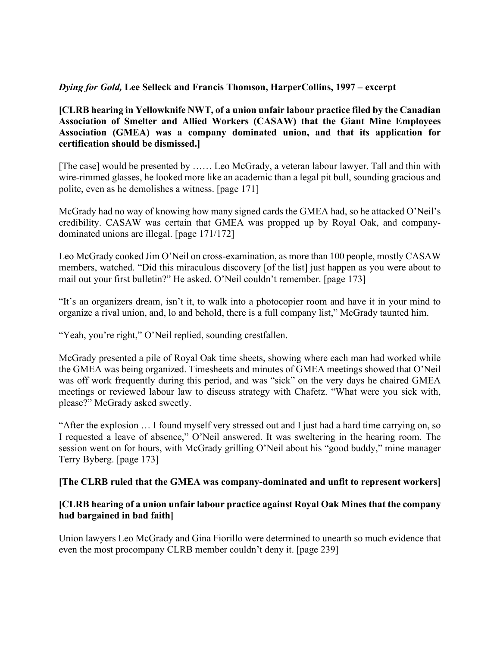## *Dying for Gold,* **Lee Selleck and Francis Thomson, HarperCollins, 1997 – excerpt**

## **[CLRB hearing in Yellowknife NWT, of a union unfair labour practice filed by the Canadian Association of Smelter and Allied Workers (CASAW) that the Giant Mine Employees Association (GMEA) was a company dominated union, and that its application for certification should be dismissed.]**

[The case] would be presented by …… Leo McGrady, a veteran labour lawyer. Tall and thin with wire-rimmed glasses, he looked more like an academic than a legal pit bull, sounding gracious and polite, even as he demolishes a witness. [page 171]

McGrady had no way of knowing how many signed cards the GMEA had, so he attacked O'Neil's credibility. CASAW was certain that GMEA was propped up by Royal Oak, and companydominated unions are illegal. [page 171/172]

Leo McGrady cooked Jim O'Neil on cross-examination, as more than 100 people, mostly CASAW members, watched. "Did this miraculous discovery [of the list] just happen as you were about to mail out your first bulletin?" He asked. O'Neil couldn't remember. [page 173]

"It's an organizers dream, isn't it, to walk into a photocopier room and have it in your mind to organize a rival union, and, lo and behold, there is a full company list," McGrady taunted him.

"Yeah, you're right," O'Neil replied, sounding crestfallen.

McGrady presented a pile of Royal Oak time sheets, showing where each man had worked while the GMEA was being organized. Timesheets and minutes of GMEA meetings showed that O'Neil was off work frequently during this period, and was "sick" on the very days he chaired GMEA meetings or reviewed labour law to discuss strategy with Chafetz. "What were you sick with, please?" McGrady asked sweetly.

"After the explosion … I found myself very stressed out and I just had a hard time carrying on, so I requested a leave of absence," O'Neil answered. It was sweltering in the hearing room. The session went on for hours, with McGrady grilling O'Neil about his "good buddy," mine manager Terry Byberg. [page 173]

## **[The CLRB ruled that the GMEA was company-dominated and unfit to represent workers]**

## **[CLRB hearing of a union unfair labour practice against Royal Oak Mines that the company had bargained in bad faith]**

Union lawyers Leo McGrady and Gina Fiorillo were determined to unearth so much evidence that even the most procompany CLRB member couldn't deny it. [page 239]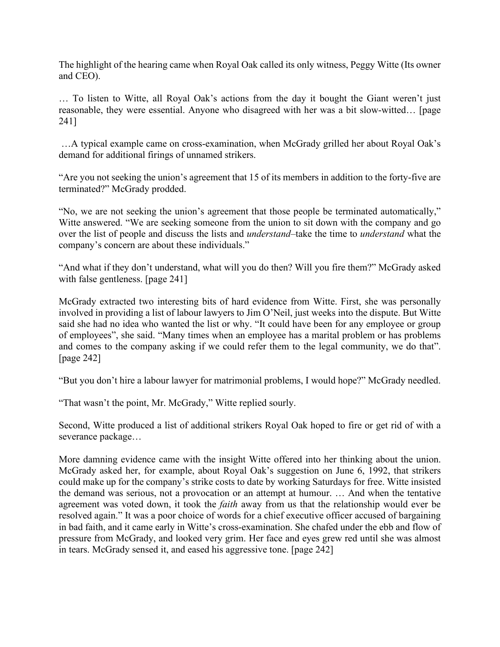The highlight of the hearing came when Royal Oak called its only witness, Peggy Witte (Its owner and CEO).

… To listen to Witte, all Royal Oak's actions from the day it bought the Giant weren't just reasonable, they were essential. Anyone who disagreed with her was a bit slow-witted… [page 241]

…A typical example came on cross-examination, when McGrady grilled her about Royal Oak's demand for additional firings of unnamed strikers.

"Are you not seeking the union's agreement that 15 of its members in addition to the forty-five are terminated?" McGrady prodded.

"No, we are not seeking the union's agreement that those people be terminated automatically," Witte answered. "We are seeking someone from the union to sit down with the company and go over the list of people and discuss the lists and *understand*–take the time to *understand* what the company's concern are about these individuals."

"And what if they don't understand, what will you do then? Will you fire them?" McGrady asked with false gentleness. [page 241]

McGrady extracted two interesting bits of hard evidence from Witte. First, she was personally involved in providing a list of labour lawyers to Jim O'Neil, just weeks into the dispute. But Witte said she had no idea who wanted the list or why. "It could have been for any employee or group of employees", she said. "Many times when an employee has a marital problem or has problems and comes to the company asking if we could refer them to the legal community, we do that". [page 242]

"But you don't hire a labour lawyer for matrimonial problems, I would hope?" McGrady needled.

"That wasn't the point, Mr. McGrady," Witte replied sourly.

Second, Witte produced a list of additional strikers Royal Oak hoped to fire or get rid of with a severance package…

More damning evidence came with the insight Witte offered into her thinking about the union. McGrady asked her, for example, about Royal Oak's suggestion on June 6, 1992, that strikers could make up for the company's strike costs to date by working Saturdays for free. Witte insisted the demand was serious, not a provocation or an attempt at humour. … And when the tentative agreement was voted down, it took the *faith* away from us that the relationship would ever be resolved again." It was a poor choice of words for a chief executive officer accused of bargaining in bad faith, and it came early in Witte's cross-examination. She chafed under the ebb and flow of pressure from McGrady, and looked very grim. Her face and eyes grew red until she was almost in tears. McGrady sensed it, and eased his aggressive tone. [page 242]